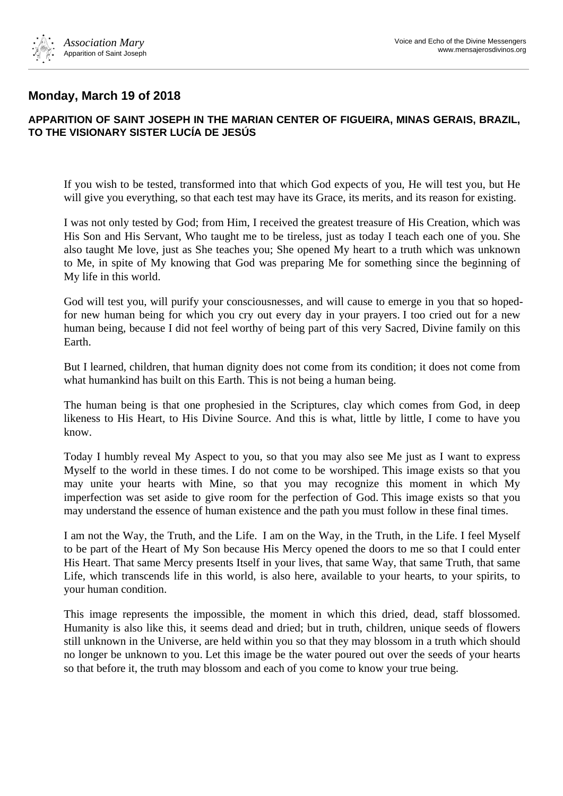

## **Monday, March 19 of 2018**

## **APPARITION OF SAINT JOSEPH IN THE MARIAN CENTER OF FIGUEIRA, MINAS GERAIS, BRAZIL, TO THE VISIONARY SISTER LUCÍA DE JESÚS**

If you wish to be tested, transformed into that which God expects of you, He will test you, but He will give you everything, so that each test may have its Grace, its merits, and its reason for existing.

I was not only tested by God; from Him, I received the greatest treasure of His Creation, which was His Son and His Servant, Who taught me to be tireless, just as today I teach each one of you. She also taught Me love, just as She teaches you; She opened My heart to a truth which was unknown to Me, in spite of My knowing that God was preparing Me for something since the beginning of My life in this world.

God will test you, will purify your consciousnesses, and will cause to emerge in you that so hopedfor new human being for which you cry out every day in your prayers. I too cried out for a new human being, because I did not feel worthy of being part of this very Sacred, Divine family on this Earth.

But I learned, children, that human dignity does not come from its condition; it does not come from what humankind has built on this Earth. This is not being a human being.

The human being is that one prophesied in the Scriptures, clay which comes from God, in deep likeness to His Heart, to His Divine Source. And this is what, little by little, I come to have you know.

Today I humbly reveal My Aspect to you, so that you may also see Me just as I want to express Myself to the world in these times. I do not come to be worshiped. This image exists so that you may unite your hearts with Mine, so that you may recognize this moment in which My imperfection was set aside to give room for the perfection of God. This image exists so that you may understand the essence of human existence and the path you must follow in these final times.

I am not the Way, the Truth, and the Life. I am on the Way, in the Truth, in the Life. I feel Myself to be part of the Heart of My Son because His Mercy opened the doors to me so that I could enter His Heart. That same Mercy presents Itself in your lives, that same Way, that same Truth, that same Life, which transcends life in this world, is also here, available to your hearts, to your spirits, to your human condition.

This image represents the impossible, the moment in which this dried, dead, staff blossomed. Humanity is also like this, it seems dead and dried; but in truth, children, unique seeds of flowers still unknown in the Universe, are held within you so that they may blossom in a truth which should no longer be unknown to you. Let this image be the water poured out over the seeds of your hearts so that before it, the truth may blossom and each of you come to know your true being.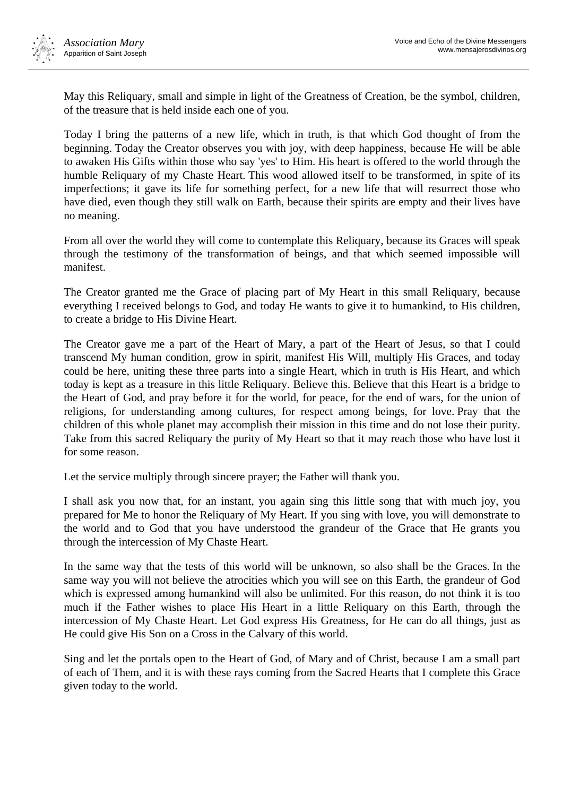

May this Reliquary, small and simple in light of the Greatness of Creation, be the symbol, children, of the treasure that is held inside each one of you.

Today I bring the patterns of a new life, which in truth, is that which God thought of from the beginning. Today the Creator observes you with joy, with deep happiness, because He will be able to awaken His Gifts within those who say 'yes' to Him. His heart is offered to the world through the humble Reliquary of my Chaste Heart. This wood allowed itself to be transformed, in spite of its imperfections; it gave its life for something perfect, for a new life that will resurrect those who have died, even though they still walk on Earth, because their spirits are empty and their lives have no meaning.

From all over the world they will come to contemplate this Reliquary, because its Graces will speak through the testimony of the transformation of beings, and that which seemed impossible will manifest.

The Creator granted me the Grace of placing part of My Heart in this small Reliquary, because everything I received belongs to God, and today He wants to give it to humankind, to His children, to create a bridge to His Divine Heart.

The Creator gave me a part of the Heart of Mary, a part of the Heart of Jesus, so that I could transcend My human condition, grow in spirit, manifest His Will, multiply His Graces, and today could be here, uniting these three parts into a single Heart, which in truth is His Heart, and which today is kept as a treasure in this little Reliquary. Believe this. Believe that this Heart is a bridge to the Heart of God, and pray before it for the world, for peace, for the end of wars, for the union of religions, for understanding among cultures, for respect among beings, for love. Pray that the children of this whole planet may accomplish their mission in this time and do not lose their purity. Take from this sacred Reliquary the purity of My Heart so that it may reach those who have lost it for some reason.

Let the service multiply through sincere prayer; the Father will thank you.

I shall ask you now that, for an instant, you again sing this little song that with much joy, you prepared for Me to honor the Reliquary of My Heart. If you sing with love, you will demonstrate to the world and to God that you have understood the grandeur of the Grace that He grants you through the intercession of My Chaste Heart.

In the same way that the tests of this world will be unknown, so also shall be the Graces. In the same way you will not believe the atrocities which you will see on this Earth, the grandeur of God which is expressed among humankind will also be unlimited. For this reason, do not think it is too much if the Father wishes to place His Heart in a little Reliquary on this Earth, through the intercession of My Chaste Heart. Let God express His Greatness, for He can do all things, just as He could give His Son on a Cross in the Calvary of this world.

Sing and let the portals open to the Heart of God, of Mary and of Christ, because I am a small part of each of Them, and it is with these rays coming from the Sacred Hearts that I complete this Grace given today to the world.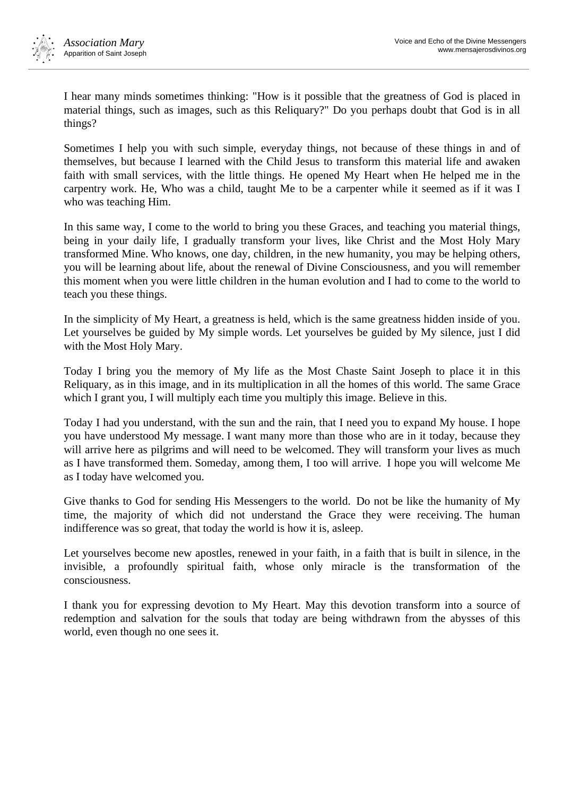

I hear many minds sometimes thinking: "How is it possible that the greatness of God is placed in material things, such as images, such as this Reliquary?" Do you perhaps doubt that God is in all things?

Sometimes I help you with such simple, everyday things, not because of these things in and of themselves, but because I learned with the Child Jesus to transform this material life and awaken faith with small services, with the little things. He opened My Heart when He helped me in the carpentry work. He, Who was a child, taught Me to be a carpenter while it seemed as if it was I who was teaching Him.

In this same way, I come to the world to bring you these Graces, and teaching you material things, being in your daily life, I gradually transform your lives, like Christ and the Most Holy Mary transformed Mine. Who knows, one day, children, in the new humanity, you may be helping others, you will be learning about life, about the renewal of Divine Consciousness, and you will remember this moment when you were little children in the human evolution and I had to come to the world to teach you these things.

In the simplicity of My Heart, a greatness is held, which is the same greatness hidden inside of you. Let yourselves be guided by My simple words. Let yourselves be guided by My silence, just I did with the Most Holy Mary.

Today I bring you the memory of My life as the Most Chaste Saint Joseph to place it in this Reliquary, as in this image, and in its multiplication in all the homes of this world. The same Grace which I grant you, I will multiply each time you multiply this image. Believe in this.

Today I had you understand, with the sun and the rain, that I need you to expand My house. I hope you have understood My message. I want many more than those who are in it today, because they will arrive here as pilgrims and will need to be welcomed. They will transform your lives as much as I have transformed them. Someday, among them, I too will arrive. I hope you will welcome Me as I today have welcomed you.

Give thanks to God for sending His Messengers to the world. Do not be like the humanity of My time, the majority of which did not understand the Grace they were receiving. The human indifference was so great, that today the world is how it is, asleep.

Let yourselves become new apostles, renewed in your faith, in a faith that is built in silence, in the invisible, a profoundly spiritual faith, whose only miracle is the transformation of the consciousness.

I thank you for expressing devotion to My Heart. May this devotion transform into a source of redemption and salvation for the souls that today are being withdrawn from the abysses of this world, even though no one sees it.